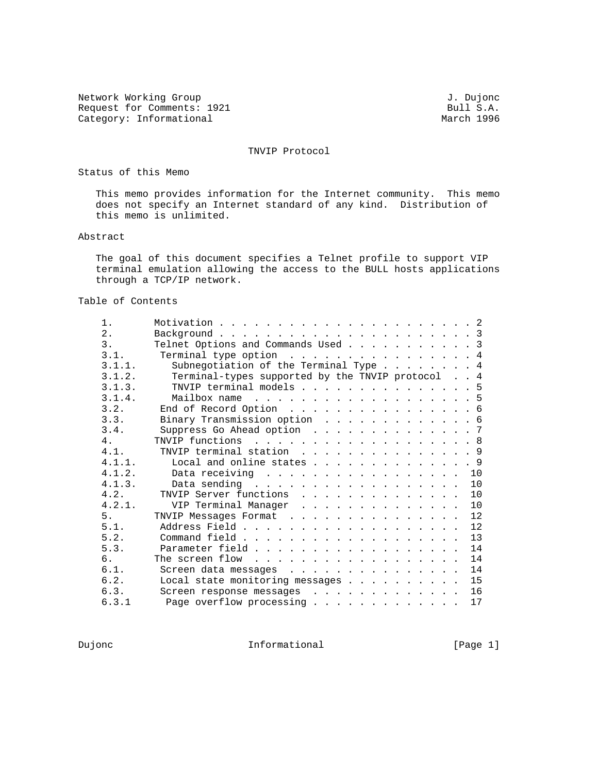Network Working Group<br>Request for Comments: 1921 Comments: 1921 Request for Comments: 1921 Bull S.A. Bull S.A. Bull S.A. Bull S.A. Category: Informational

TNVIP Protocol

Status of this Memo

 This memo provides information for the Internet community. This memo does not specify an Internet standard of any kind. Distribution of this memo is unlimited.

#### Abstract

 The goal of this document specifies a Telnet profile to support VIP terminal emulation allowing the access to the BULL hosts applications through a TCP/IP network.

## Table of Contents

| $1$ .  |                                                  |
|--------|--------------------------------------------------|
| $2$ .  |                                                  |
| 3.     | Telnet Options and Commands Used 3               |
| 3.1.   | Terminal type option $\ldots$ 4                  |
| 3.1.1. | Subnegotiation of the Terminal Type 4            |
| 3.1.2. | Terminal-types supported by the TNVIP protocol 4 |
| 3.1.3. | TNVIP terminal models 5                          |
| 3.1.4. | Mailbox name 5                                   |
| 3.2.   | End of Record Option 6                           |
| 3.3.   | Binary Transmission option 6                     |
| 3.4.   | Suppress Go Ahead option 7                       |
| 4.     | TNVIP functions 8                                |
| 4.1.   | TNVIP terminal station 9                         |
| 4.1.1. | Local and online states 9                        |
| 4.1.2. | Data receiving 10                                |
| 4.1.3. | Data sending $\ldots$<br>10                      |
| 4.2.   | TNVIP Server functions<br>10                     |
| 4.2.1. | VIP Terminal Manager<br>10                       |
| 5.     | 12<br>TNVIP Messages Format                      |
| 5.1.   | 12                                               |
| 5.2.   | 13                                               |
| 5.3.   | Parameter field<br>14                            |
| 6.     | 14                                               |
| 6.1.   | 14<br>Screen data messages                       |
| 6.2.   | Local state monitoring messages<br>15            |
| 6.3.   | 16<br>Screen response messages                   |
| 6.3.1  | Page overflow processing<br>17                   |
|        |                                                  |

Dujonc **Informational Informational** [Page 1]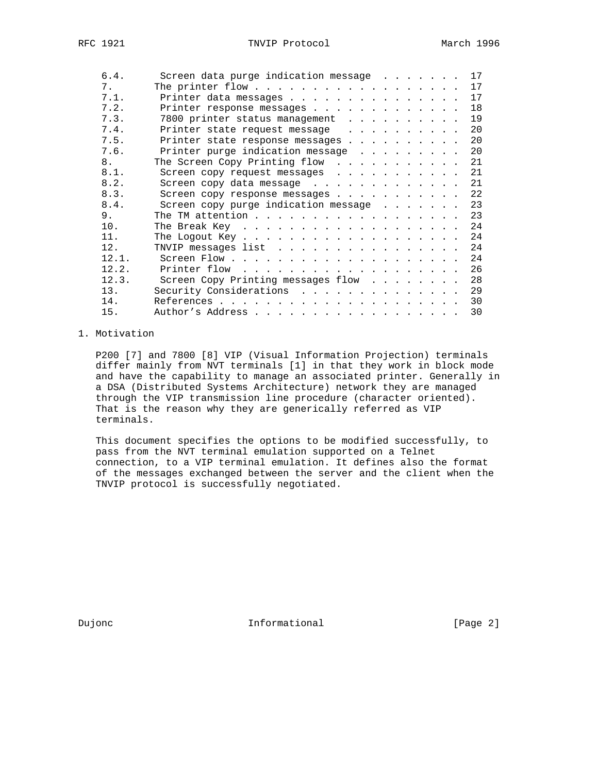| 6.4.  | Screen data purge indication message 17                   |
|-------|-----------------------------------------------------------|
| 7.    | 17                                                        |
| 7.1.  | 17<br>Printer data messages                               |
| 7.2.  | 18<br>Printer response messages                           |
| 7.3.  | 19<br>7800 printer status management                      |
| 7.4.  | Printer state request message<br>20                       |
| 7.5.  | 20<br>Printer state response messages                     |
| 7.6.  | Printer purge indication message<br>20                    |
| 8.    | The Screen Copy Printing flow<br>21                       |
| 8.1.  | Screen copy request messages 21                           |
| 8.2.  | 21<br>Screen copy data message                            |
| 8.3.  | Screen copy response messages 22                          |
| 8.4.  | Screen copy purge indication message 23                   |
| 9.    | The TM attention 23                                       |
| 10.   | 24<br>The Break Key $\dots \dots \dots \dots \dots \dots$ |
| 11.   | 24                                                        |
| 12.   | 24<br>TNVIP messages list $\ldots$                        |
| 12.1. |                                                           |
| 12.2. | 26<br>Printer flow $\ldots \ldots \ldots \ldots \ldots$   |
| 12.3. | 28<br>Screen Copy Printing messages flow                  |
| 13.   | Security Considerations<br>29                             |
| 14.   | 30                                                        |
| 15.   | 30<br>Author's Address                                    |
|       |                                                           |

### 1. Motivation

 P200 [7] and 7800 [8] VIP (Visual Information Projection) terminals differ mainly from NVT terminals [1] in that they work in block mode and have the capability to manage an associated printer. Generally in a DSA (Distributed Systems Architecture) network they are managed through the VIP transmission line procedure (character oriented). That is the reason why they are generically referred as VIP terminals.

 This document specifies the options to be modified successfully, to pass from the NVT terminal emulation supported on a Telnet connection, to a VIP terminal emulation. It defines also the format of the messages exchanged between the server and the client when the TNVIP protocol is successfully negotiated.

Dujonc **Informational Informational** [Page 2]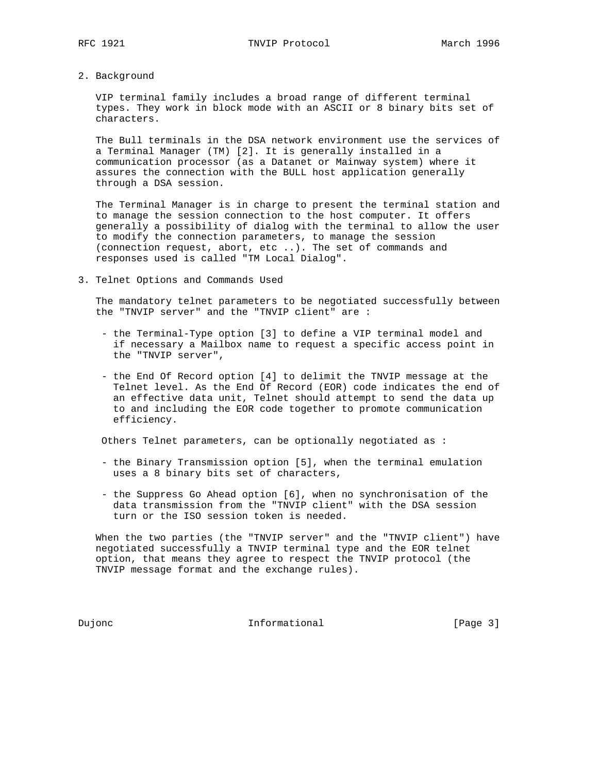- 
- 2. Background

 VIP terminal family includes a broad range of different terminal types. They work in block mode with an ASCII or 8 binary bits set of characters.

 The Bull terminals in the DSA network environment use the services of a Terminal Manager (TM) [2]. It is generally installed in a communication processor (as a Datanet or Mainway system) where it assures the connection with the BULL host application generally through a DSA session.

 The Terminal Manager is in charge to present the terminal station and to manage the session connection to the host computer. It offers generally a possibility of dialog with the terminal to allow the user to modify the connection parameters, to manage the session (connection request, abort, etc ..). The set of commands and responses used is called "TM Local Dialog".

3. Telnet Options and Commands Used

 The mandatory telnet parameters to be negotiated successfully between the "TNVIP server" and the "TNVIP client" are :

- the Terminal-Type option [3] to define a VIP terminal model and if necessary a Mailbox name to request a specific access point in the "TNVIP server",
- the End Of Record option [4] to delimit the TNVIP message at the Telnet level. As the End Of Record (EOR) code indicates the end of an effective data unit, Telnet should attempt to send the data up to and including the EOR code together to promote communication efficiency.

Others Telnet parameters, can be optionally negotiated as :

- the Binary Transmission option [5], when the terminal emulation uses a 8 binary bits set of characters,
- the Suppress Go Ahead option [6], when no synchronisation of the data transmission from the "TNVIP client" with the DSA session turn or the ISO session token is needed.

 When the two parties (the "TNVIP server" and the "TNVIP client") have negotiated successfully a TNVIP terminal type and the EOR telnet option, that means they agree to respect the TNVIP protocol (the TNVIP message format and the exchange rules).

Dujonc **Informational Informational Informational** [Page 3]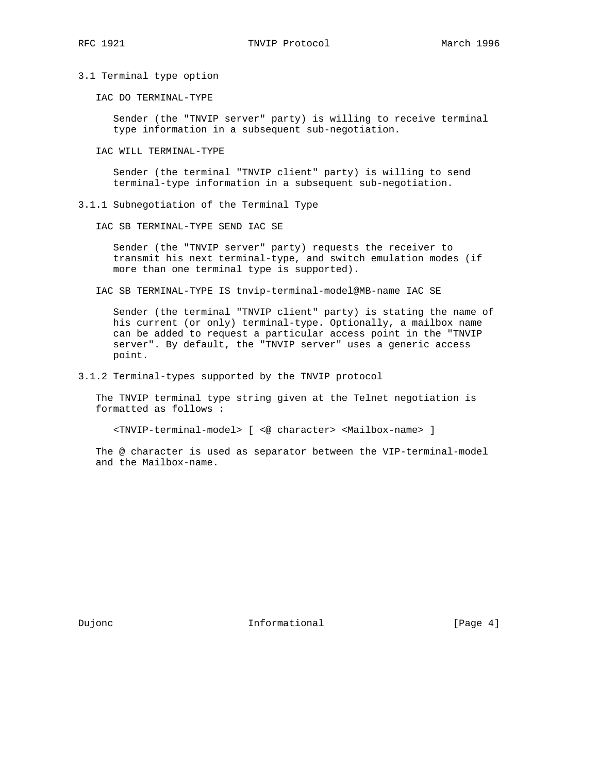3.1 Terminal type option

IAC DO TERMINAL-TYPE

 Sender (the "TNVIP server" party) is willing to receive terminal type information in a subsequent sub-negotiation.

IAC WILL TERMINAL-TYPE

 Sender (the terminal "TNVIP client" party) is willing to send terminal-type information in a subsequent sub-negotiation.

3.1.1 Subnegotiation of the Terminal Type

IAC SB TERMINAL-TYPE SEND IAC SE

 Sender (the "TNVIP server" party) requests the receiver to transmit his next terminal-type, and switch emulation modes (if more than one terminal type is supported).

IAC SB TERMINAL-TYPE IS tnvip-terminal-model@MB-name IAC SE

 Sender (the terminal "TNVIP client" party) is stating the name of his current (or only) terminal-type. Optionally, a mailbox name can be added to request a particular access point in the "TNVIP server". By default, the "TNVIP server" uses a generic access point.

3.1.2 Terminal-types supported by the TNVIP protocol

 The TNVIP terminal type string given at the Telnet negotiation is formatted as follows :

<TNVIP-terminal-model> [ <@ character> <Mailbox-name> ]

 The @ character is used as separator between the VIP-terminal-model and the Mailbox-name.

Dujonc **Informational Informational** [Page 4]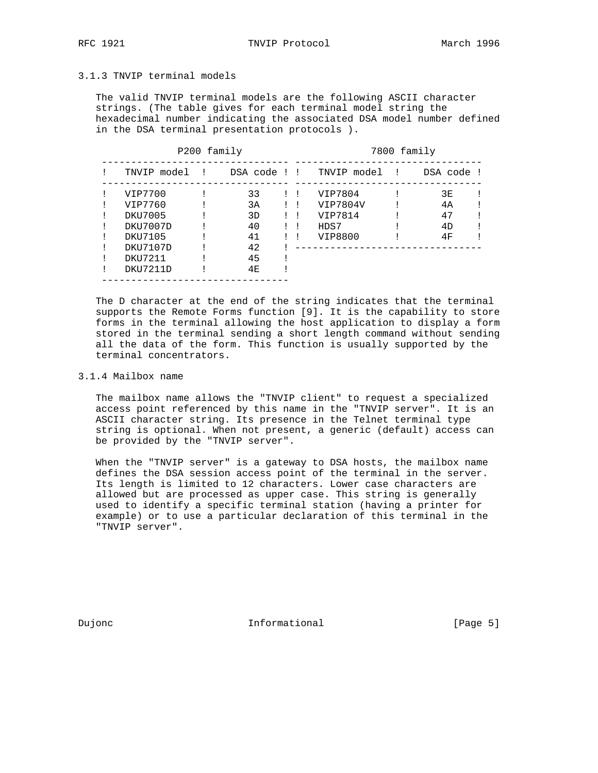RFC 1921 **TNVIP Protocol** March 1996

## 3.1.3 TNVIP terminal models

 The valid TNVIP terminal models are the following ASCII character strings. (The table gives for each terminal model string the hexadecimal number indicating the associated DSA model number defined in the DSA terminal presentation protocols ).

| P200 family |               |  |    |  | 7800 family |                           |  |            |
|-------------|---------------|--|----|--|-------------|---------------------------|--|------------|
|             | TNVIP model ! |  |    |  |             | DSA code !! TNVIP model ! |  | DSA code ! |
|             | VIP7700       |  | 33 |  |             | VIP7804                   |  | 3E         |
|             | VIP7760       |  | 3A |  |             | VIP7804V                  |  | 4A         |
|             | DKU7005       |  | 3D |  |             | VIP7814                   |  | 47         |
|             | DKU7007D      |  | 40 |  |             | HDS7                      |  | 4D         |
|             | DKU7105       |  | 41 |  |             | VIP8800                   |  | 4F         |
|             | DKU7107D      |  | 42 |  |             |                           |  |            |
|             | DKU7211       |  | 45 |  |             |                           |  |            |
|             | DKU7211D      |  | 4E |  |             |                           |  |            |

 The D character at the end of the string indicates that the terminal supports the Remote Forms function [9]. It is the capability to store forms in the terminal allowing the host application to display a form stored in the terminal sending a short length command without sending all the data of the form. This function is usually supported by the terminal concentrators.

### 3.1.4 Mailbox name

 The mailbox name allows the "TNVIP client" to request a specialized access point referenced by this name in the "TNVIP server". It is an ASCII character string. Its presence in the Telnet terminal type string is optional. When not present, a generic (default) access can be provided by the "TNVIP server".

 When the "TNVIP server" is a gateway to DSA hosts, the mailbox name defines the DSA session access point of the terminal in the server. Its length is limited to 12 characters. Lower case characters are allowed but are processed as upper case. This string is generally used to identify a specific terminal station (having a printer for example) or to use a particular declaration of this terminal in the "TNVIP server".

Dujonc **Informational Informational Informational** [Page 5]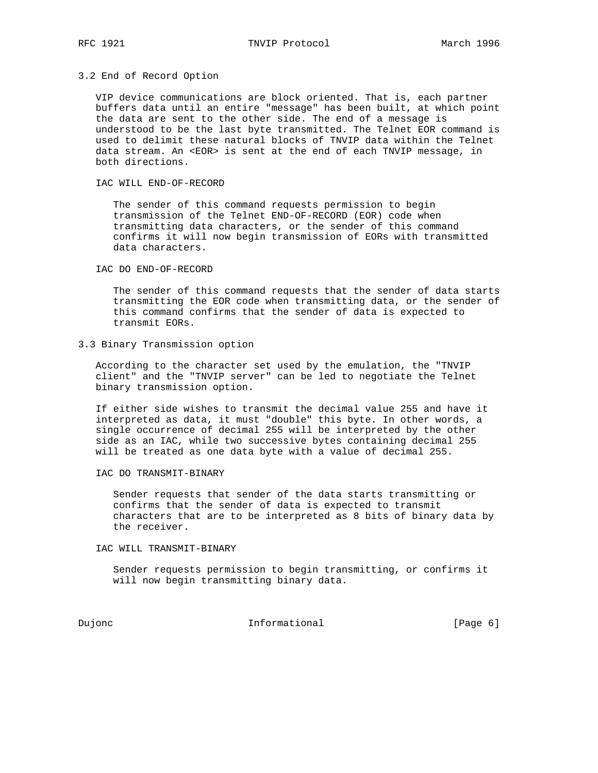### 3.2 End of Record Option

 VIP device communications are block oriented. That is, each partner buffers data until an entire "message" has been built, at which point the data are sent to the other side. The end of a message is understood to be the last byte transmitted. The Telnet EOR command is used to delimit these natural blocks of TNVIP data within the Telnet data stream. An <EOR> is sent at the end of each TNVIP message, in both directions.

IAC WILL END-OF-RECORD

 The sender of this command requests permission to begin transmission of the Telnet END-OF-RECORD (EOR) code when transmitting data characters, or the sender of this command confirms it will now begin transmission of EORs with transmitted data characters.

IAC DO END-OF-RECORD

 The sender of this command requests that the sender of data starts transmitting the EOR code when transmitting data, or the sender of this command confirms that the sender of data is expected to transmit EORs.

3.3 Binary Transmission option

 According to the character set used by the emulation, the "TNVIP client" and the "TNVIP server" can be led to negotiate the Telnet binary transmission option.

 If either side wishes to transmit the decimal value 255 and have it interpreted as data, it must "double" this byte. In other words, a single occurrence of decimal 255 will be interpreted by the other side as an IAC, while two successive bytes containing decimal 255 will be treated as one data byte with a value of decimal 255.

IAC DO TRANSMIT-BINARY

 Sender requests that sender of the data starts transmitting or confirms that the sender of data is expected to transmit characters that are to be interpreted as 8 bits of binary data by the receiver.

IAC WILL TRANSMIT-BINARY

 Sender requests permission to begin transmitting, or confirms it will now begin transmitting binary data.

Dujonc **Informational Informational Informational** [Page 6]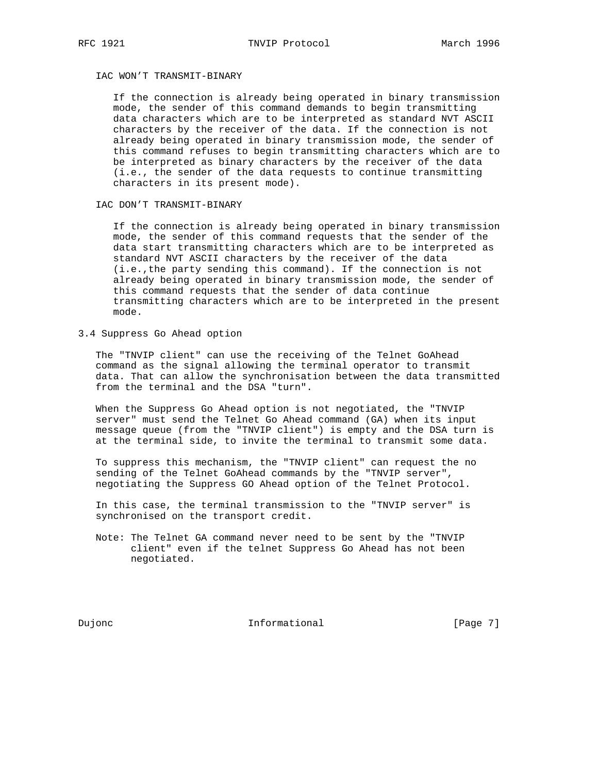### IAC WON'T TRANSMIT-BINARY

 If the connection is already being operated in binary transmission mode, the sender of this command demands to begin transmitting data characters which are to be interpreted as standard NVT ASCII characters by the receiver of the data. If the connection is not already being operated in binary transmission mode, the sender of this command refuses to begin transmitting characters which are to be interpreted as binary characters by the receiver of the data (i.e., the sender of the data requests to continue transmitting characters in its present mode).

IAC DON'T TRANSMIT-BINARY

 If the connection is already being operated in binary transmission mode, the sender of this command requests that the sender of the data start transmitting characters which are to be interpreted as standard NVT ASCII characters by the receiver of the data (i.e.,the party sending this command). If the connection is not already being operated in binary transmission mode, the sender of this command requests that the sender of data continue transmitting characters which are to be interpreted in the present mode.

3.4 Suppress Go Ahead option

 The "TNVIP client" can use the receiving of the Telnet GoAhead command as the signal allowing the terminal operator to transmit data. That can allow the synchronisation between the data transmitted from the terminal and the DSA "turn".

 When the Suppress Go Ahead option is not negotiated, the "TNVIP server" must send the Telnet Go Ahead command (GA) when its input message queue (from the "TNVIP client") is empty and the DSA turn is at the terminal side, to invite the terminal to transmit some data.

 To suppress this mechanism, the "TNVIP client" can request the no sending of the Telnet GoAhead commands by the "TNVIP server", negotiating the Suppress GO Ahead option of the Telnet Protocol.

 In this case, the terminal transmission to the "TNVIP server" is synchronised on the transport credit.

 Note: The Telnet GA command never need to be sent by the "TNVIP client" even if the telnet Suppress Go Ahead has not been negotiated.

Dujonc **Informational** Informational [Page 7]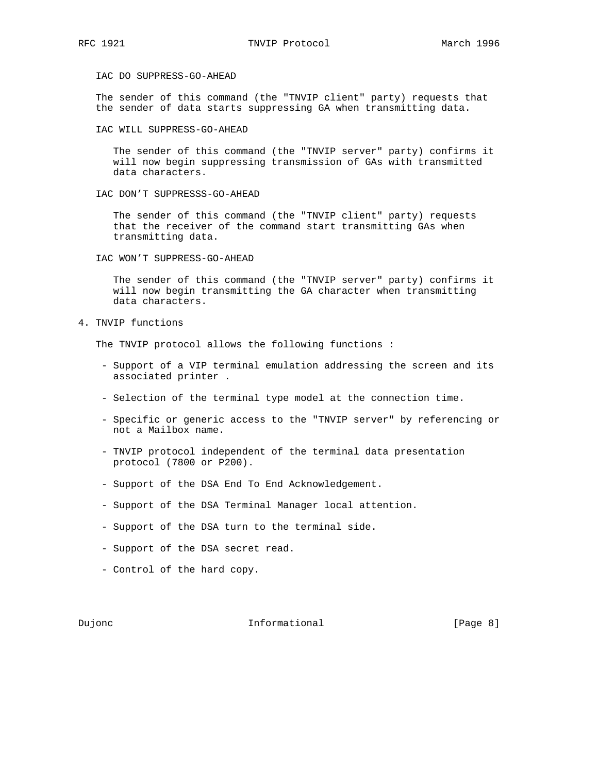IAC DO SUPPRESS-GO-AHEAD

 The sender of this command (the "TNVIP client" party) requests that the sender of data starts suppressing GA when transmitting data.

IAC WILL SUPPRESS-GO-AHEAD

 The sender of this command (the "TNVIP server" party) confirms it will now begin suppressing transmission of GAs with transmitted data characters.

IAC DON'T SUPPRESSS-GO-AHEAD

 The sender of this command (the "TNVIP client" party) requests that the receiver of the command start transmitting GAs when transmitting data.

IAC WON'T SUPPRESS-GO-AHEAD

 The sender of this command (the "TNVIP server" party) confirms it will now begin transmitting the GA character when transmitting data characters.

4. TNVIP functions

The TNVIP protocol allows the following functions :

- Support of a VIP terminal emulation addressing the screen and its associated printer .
- Selection of the terminal type model at the connection time.
- Specific or generic access to the "TNVIP server" by referencing or not a Mailbox name.
- TNVIP protocol independent of the terminal data presentation protocol (7800 or P200).
- Support of the DSA End To End Acknowledgement.
- Support of the DSA Terminal Manager local attention.
- Support of the DSA turn to the terminal side.
- Support of the DSA secret read.
- Control of the hard copy.

Dujonc **Informational Informational Informational** [Page 8]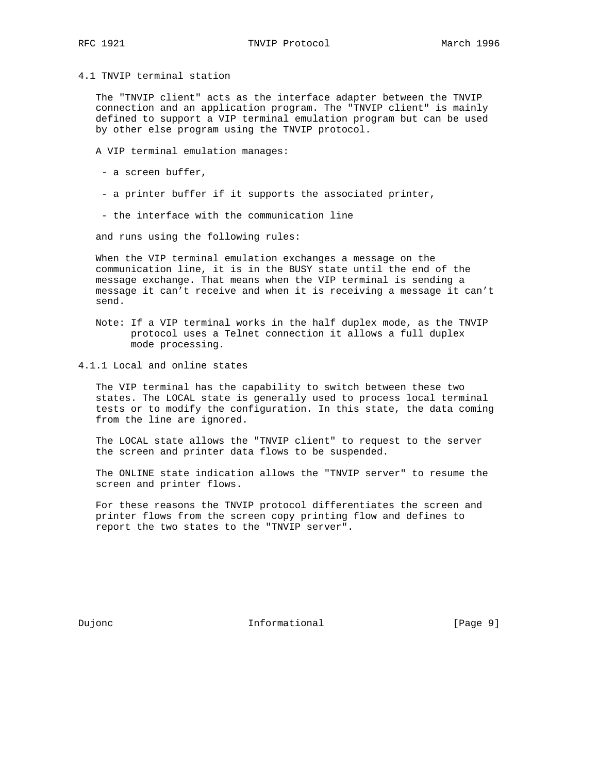4.1 TNVIP terminal station

 The "TNVIP client" acts as the interface adapter between the TNVIP connection and an application program. The "TNVIP client" is mainly defined to support a VIP terminal emulation program but can be used by other else program using the TNVIP protocol.

A VIP terminal emulation manages:

- a screen buffer,
- a printer buffer if it supports the associated printer,
- the interface with the communication line

and runs using the following rules:

 When the VIP terminal emulation exchanges a message on the communication line, it is in the BUSY state until the end of the message exchange. That means when the VIP terminal is sending a message it can't receive and when it is receiving a message it can't send.

- Note: If a VIP terminal works in the half duplex mode, as the TNVIP protocol uses a Telnet connection it allows a full duplex mode processing.
- 4.1.1 Local and online states

 The VIP terminal has the capability to switch between these two states. The LOCAL state is generally used to process local terminal tests or to modify the configuration. In this state, the data coming from the line are ignored.

 The LOCAL state allows the "TNVIP client" to request to the server the screen and printer data flows to be suspended.

 The ONLINE state indication allows the "TNVIP server" to resume the screen and printer flows.

 For these reasons the TNVIP protocol differentiates the screen and printer flows from the screen copy printing flow and defines to report the two states to the "TNVIP server".

Dujonc **Informational Informational** [Page 9]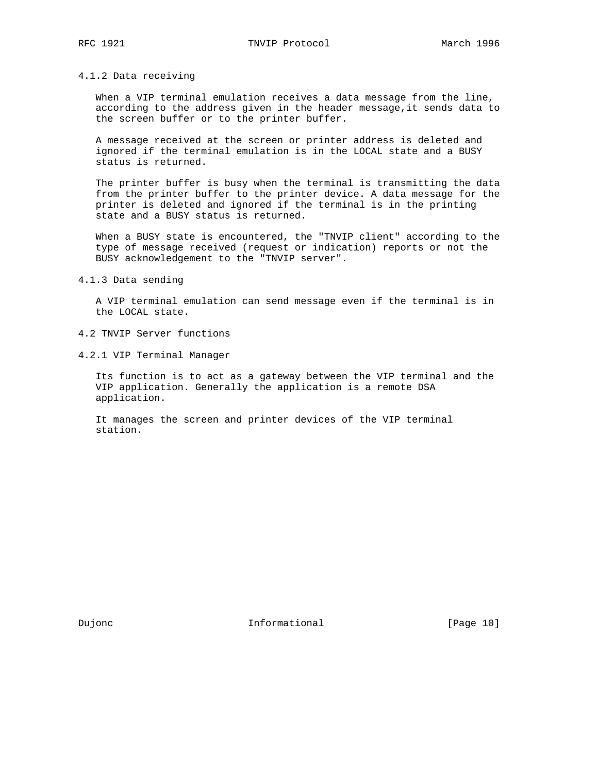### 4.1.2 Data receiving

When a VIP terminal emulation receives a data message from the line, according to the address given in the header message,it sends data to the screen buffer or to the printer buffer.

 A message received at the screen or printer address is deleted and ignored if the terminal emulation is in the LOCAL state and a BUSY status is returned.

 The printer buffer is busy when the terminal is transmitting the data from the printer buffer to the printer device. A data message for the printer is deleted and ignored if the terminal is in the printing state and a BUSY status is returned.

 When a BUSY state is encountered, the "TNVIP client" according to the type of message received (request or indication) reports or not the BUSY acknowledgement to the "TNVIP server".

4.1.3 Data sending

 A VIP terminal emulation can send message even if the terminal is in the LOCAL state.

- 4.2 TNVIP Server functions
- 4.2.1 VIP Terminal Manager

 Its function is to act as a gateway between the VIP terminal and the VIP application. Generally the application is a remote DSA application.

 It manages the screen and printer devices of the VIP terminal station.

Dujonc **Informational Informational** [Page 10]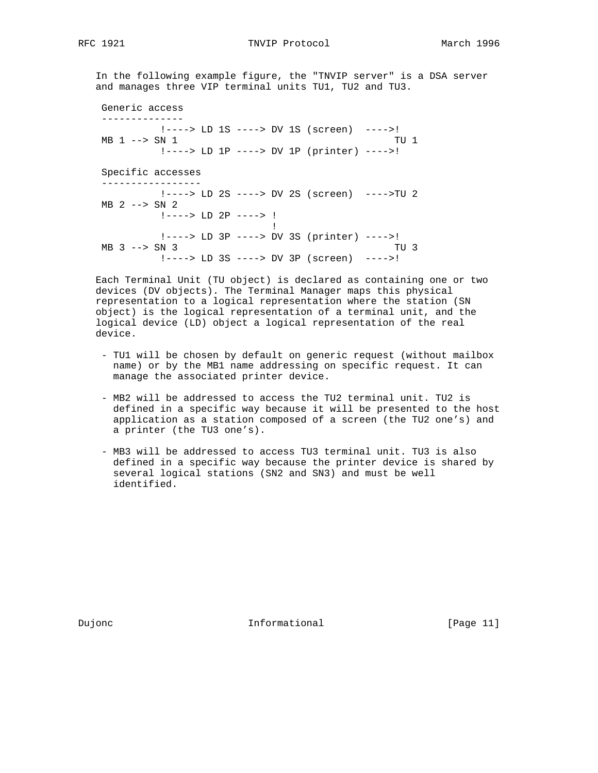In the following example figure, the "TNVIP server" is a DSA server and manages three VIP terminal units TU1, TU2 and TU3.

 Generic access -------------- !----> LD 1S ----> DV 1S (screen) ---->! MB 1 --> SN 1 TU 1 !----> LD 1P ----> DV 1P (printer) ---->! Specific accesses ----------------- !----> LD 2S ----> DV 2S (screen) ---->TU 2 MB 2 --> SN 2 !----> LD 2P ----> ! **If the contract of the contract of the contract of the contract of the contract of the contract of the contract of the contract of the contract of the contract of the contract of the contract of the contract of the contra**  !----> LD 3P ----> DV 3S (printer) ---->! MB 3 --> SN 3 TU 3 !----> LD 3S ----> DV 3P (screen) ---->!

 Each Terminal Unit (TU object) is declared as containing one or two devices (DV objects). The Terminal Manager maps this physical representation to a logical representation where the station (SN object) is the logical representation of a terminal unit, and the logical device (LD) object a logical representation of the real device.

- TU1 will be chosen by default on generic request (without mailbox name) or by the MB1 name addressing on specific request. It can manage the associated printer device.
- MB2 will be addressed to access the TU2 terminal unit. TU2 is defined in a specific way because it will be presented to the host application as a station composed of a screen (the TU2 one's) and a printer (the TU3 one's).
- MB3 will be addressed to access TU3 terminal unit. TU3 is also defined in a specific way because the printer device is shared by several logical stations (SN2 and SN3) and must be well identified.

Dujonc **Informational Informational** [Page 11]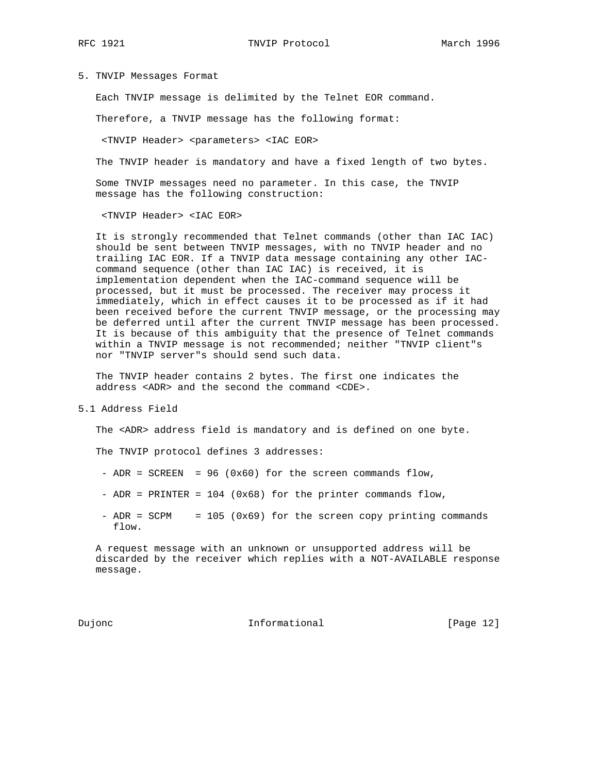### 5. TNVIP Messages Format

Each TNVIP message is delimited by the Telnet EOR command.

Therefore, a TNVIP message has the following format:

<TNVIP Header> <parameters> <IAC EOR>

The TNVIP header is mandatory and have a fixed length of two bytes.

 Some TNVIP messages need no parameter. In this case, the TNVIP message has the following construction:

<TNVIP Header> <IAC EOR>

 It is strongly recommended that Telnet commands (other than IAC IAC) should be sent between TNVIP messages, with no TNVIP header and no trailing IAC EOR. If a TNVIP data message containing any other IAC command sequence (other than IAC IAC) is received, it is implementation dependent when the IAC-command sequence will be processed, but it must be processed. The receiver may process it immediately, which in effect causes it to be processed as if it had been received before the current TNVIP message, or the processing may be deferred until after the current TNVIP message has been processed. It is because of this ambiguity that the presence of Telnet commands within a TNVIP message is not recommended; neither "TNVIP client"s nor "TNVIP server"s should send such data.

 The TNVIP header contains 2 bytes. The first one indicates the address <ADR> and the second the command <CDE>.

5.1 Address Field

The <ADR> address field is mandatory and is defined on one byte.

The TNVIP protocol defines 3 addresses:

- ADR =  $SCREEN$  = 96 (0x60) for the screen commands flow,
- ADR = PRINTER = 104 (0x68) for the printer commands flow,
- ADR = SCPM = 105 (0x69) for the screen copy printing commands flow.

 A request message with an unknown or unsupported address will be discarded by the receiver which replies with a NOT-AVAILABLE response message.

Dujonc **Informational Informational** [Page 12]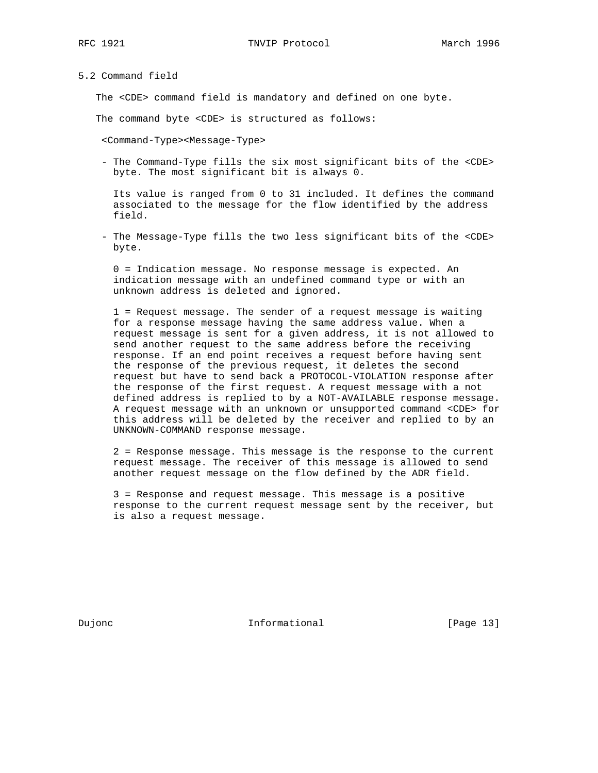5.2 Command field

The <CDE> command field is mandatory and defined on one byte.

The command byte <CDE> is structured as follows:

<Command-Type><Message-Type>

 - The Command-Type fills the six most significant bits of the <CDE> byte. The most significant bit is always 0.

 Its value is ranged from 0 to 31 included. It defines the command associated to the message for the flow identified by the address field.

 - The Message-Type fills the two less significant bits of the <CDE> byte.

 0 = Indication message. No response message is expected. An indication message with an undefined command type or with an unknown address is deleted and ignored.

 1 = Request message. The sender of a request message is waiting for a response message having the same address value. When a request message is sent for a given address, it is not allowed to send another request to the same address before the receiving response. If an end point receives a request before having sent the response of the previous request, it deletes the second request but have to send back a PROTOCOL-VIOLATION response after the response of the first request. A request message with a not defined address is replied to by a NOT-AVAILABLE response message. A request message with an unknown or unsupported command <CDE> for this address will be deleted by the receiver and replied to by an UNKNOWN-COMMAND response message.

 2 = Response message. This message is the response to the current request message. The receiver of this message is allowed to send another request message on the flow defined by the ADR field.

 3 = Response and request message. This message is a positive response to the current request message sent by the receiver, but is also a request message.

Dujonc **Informational Informational** [Page 13]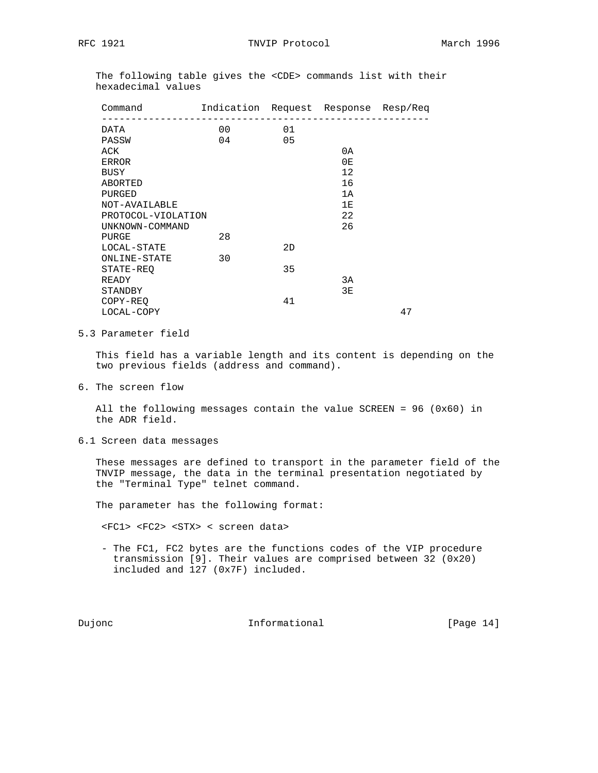The following table gives the <CDE> commands list with their hexadecimal values

| Command            | Indication Request Response Resp/Req |                |    |    |
|--------------------|--------------------------------------|----------------|----|----|
| DATA               | 00                                   | 01             |    |    |
| PASSW              | 04                                   | 0 <sub>5</sub> |    |    |
| ACK                |                                      |                | 0A |    |
| <b>ERROR</b>       |                                      |                | 0E |    |
| BUSY               |                                      |                | 12 |    |
| ABORTED            |                                      |                | 16 |    |
| PURGED             |                                      |                | 1A |    |
| NOT-AVAILABLE      |                                      |                | 1E |    |
| PROTOCOL-VIOLATION |                                      |                | 22 |    |
| UNKNOWN-COMMAND    |                                      |                | 26 |    |
| PURGE              | 28                                   |                |    |    |
| LOCAL-STATE        |                                      | 2D             |    |    |
| ONLINE-STATE       | 30                                   |                |    |    |
| STATE-REO          |                                      | 35             |    |    |
| READY              |                                      |                | 3A |    |
| STANDBY            |                                      |                | 3E |    |
| COPY-REQ           |                                      | 41             |    |    |
| LOCAL-COPY         |                                      |                |    | 47 |
|                    |                                      |                |    |    |

# 5.3 Parameter field

 This field has a variable length and its content is depending on the two previous fields (address and command).

6. The screen flow

 All the following messages contain the value SCREEN = 96 (0x60) in the ADR field.

6.1 Screen data messages

 These messages are defined to transport in the parameter field of the TNVIP message, the data in the terminal presentation negotiated by the "Terminal Type" telnet command.

The parameter has the following format:

<FC1> <FC2> <STX> < screen data>

 - The FC1, FC2 bytes are the functions codes of the VIP procedure transmission [9]. Their values are comprised between 32 (0x20) included and 127 (0x7F) included.

Dujonc **Informational Informational** [Page 14]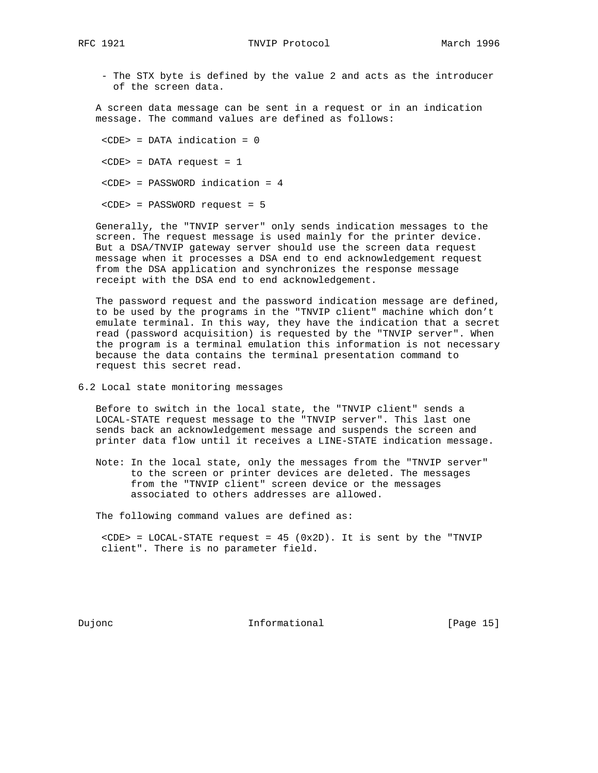- The STX byte is defined by the value 2 and acts as the introducer of the screen data.

 A screen data message can be sent in a request or in an indication message. The command values are defined as follows:

 <CDE> = DATA indication = 0  $<$ CDE> = DATA request = 1 <CDE> = PASSWORD indication = 4 <CDE> = PASSWORD request = 5

 Generally, the "TNVIP server" only sends indication messages to the screen. The request message is used mainly for the printer device. But a DSA/TNVIP gateway server should use the screen data request message when it processes a DSA end to end acknowledgement request from the DSA application and synchronizes the response message receipt with the DSA end to end acknowledgement.

 The password request and the password indication message are defined, to be used by the programs in the "TNVIP client" machine which don't emulate terminal. In this way, they have the indication that a secret read (password acquisition) is requested by the "TNVIP server". When the program is a terminal emulation this information is not necessary because the data contains the terminal presentation command to request this secret read.

6.2 Local state monitoring messages

 Before to switch in the local state, the "TNVIP client" sends a LOCAL-STATE request message to the "TNVIP server". This last one sends back an acknowledgement message and suspends the screen and printer data flow until it receives a LINE-STATE indication message.

 Note: In the local state, only the messages from the "TNVIP server" to the screen or printer devices are deleted. The messages from the "TNVIP client" screen device or the messages associated to others addresses are allowed.

The following command values are defined as:

 $\text{CDE}$  = LOCAL-STATE request = 45 (0x2D). It is sent by the "TNVIP client". There is no parameter field.

Dujonc **Informational Informational** [Page 15]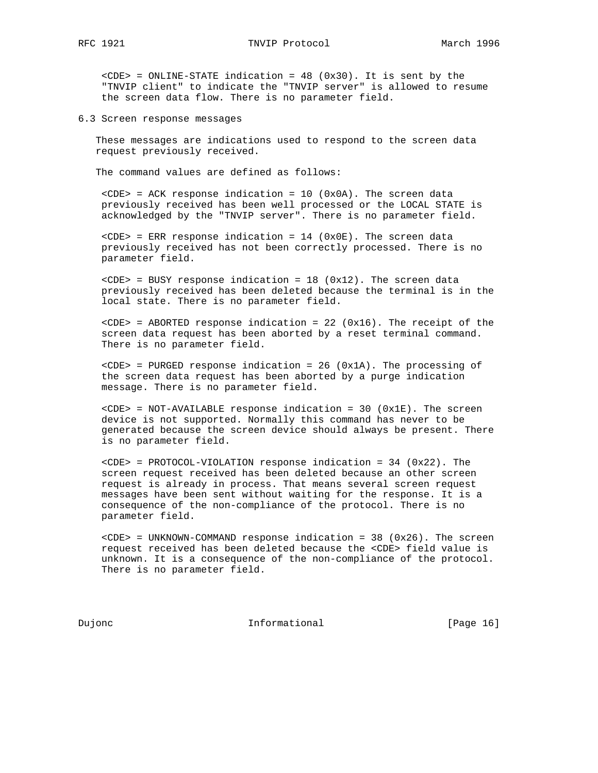<CDE> = ONLINE-STATE indication = 48 (0x30). It is sent by the "TNVIP client" to indicate the "TNVIP server" is allowed to resume the screen data flow. There is no parameter field.

6.3 Screen response messages

 These messages are indications used to respond to the screen data request previously received.

The command values are defined as follows:

 $\text{CDE}$  = ACK response indication = 10 (0x0A). The screen data previously received has been well processed or the LOCAL STATE is acknowledged by the "TNVIP server". There is no parameter field.

 $\text{CDE}$  = ERR response indication = 14 ( $0 \times 0$ E). The screen data previously received has not been correctly processed. There is no parameter field.

 $\text{CDE}$  = BUSY response indication = 18 (0x12). The screen data previously received has been deleted because the terminal is in the local state. There is no parameter field.

 $\text{CODE}$  = ABORTED response indication = 22 (0x16). The receipt of the screen data request has been aborted by a reset terminal command. There is no parameter field.

 <CDE> = PURGED response indication = 26 (0x1A). The processing of the screen data request has been aborted by a purge indication message. There is no parameter field.

 $\text{CDE}$  = NOT-AVAILABLE response indication = 30 (0x1E). The screen device is not supported. Normally this command has never to be generated because the screen device should always be present. There is no parameter field.

 <CDE> = PROTOCOL-VIOLATION response indication = 34 (0x22). The screen request received has been deleted because an other screen request is already in process. That means several screen request messages have been sent without waiting for the response. It is a consequence of the non-compliance of the protocol. There is no parameter field.

 $<$ CDE> = UNKNOWN-COMMAND response indication = 38 (0x26). The screen request received has been deleted because the <CDE> field value is unknown. It is a consequence of the non-compliance of the protocol. There is no parameter field.

Dujonc **Informational Informational** [Page 16]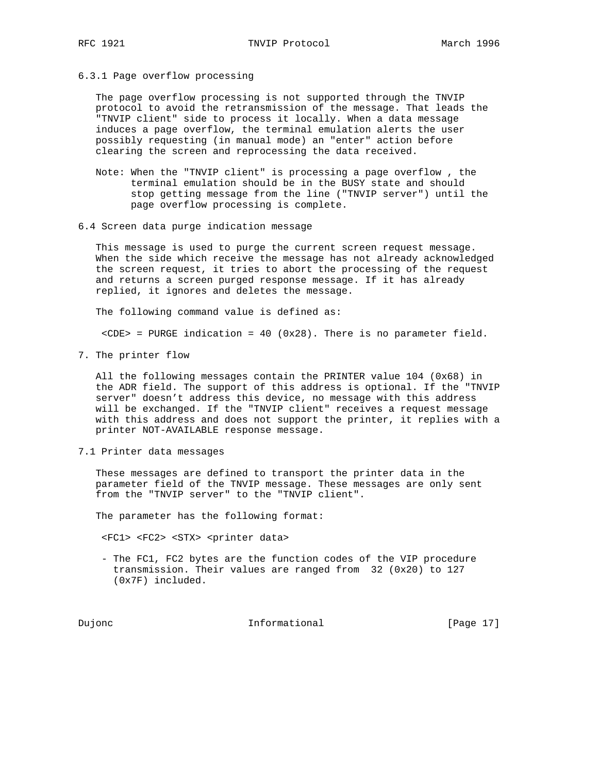6.3.1 Page overflow processing

 The page overflow processing is not supported through the TNVIP protocol to avoid the retransmission of the message. That leads the "TNVIP client" side to process it locally. When a data message induces a page overflow, the terminal emulation alerts the user possibly requesting (in manual mode) an "enter" action before clearing the screen and reprocessing the data received.

- Note: When the "TNVIP client" is processing a page overflow , the terminal emulation should be in the BUSY state and should stop getting message from the line ("TNVIP server") until the page overflow processing is complete.
- 6.4 Screen data purge indication message

 This message is used to purge the current screen request message. When the side which receive the message has not already acknowledged the screen request, it tries to abort the processing of the request and returns a screen purged response message. If it has already replied, it ignores and deletes the message.

The following command value is defined as:

<CDE> = PURGE indication = 40 (0x28). There is no parameter field.

7. The printer flow

 All the following messages contain the PRINTER value 104 (0x68) in the ADR field. The support of this address is optional. If the "TNVIP server" doesn't address this device, no message with this address will be exchanged. If the "TNVIP client" receives a request message with this address and does not support the printer, it replies with a printer NOT-AVAILABLE response message.

7.1 Printer data messages

 These messages are defined to transport the printer data in the parameter field of the TNVIP message. These messages are only sent from the "TNVIP server" to the "TNVIP client".

The parameter has the following format:

<FC1> <FC2> <STX> <printer data>

 - The FC1, FC2 bytes are the function codes of the VIP procedure transmission. Their values are ranged from 32 (0x20) to 127 (0x7F) included.

Dujonc **Informational Informational** [Page 17]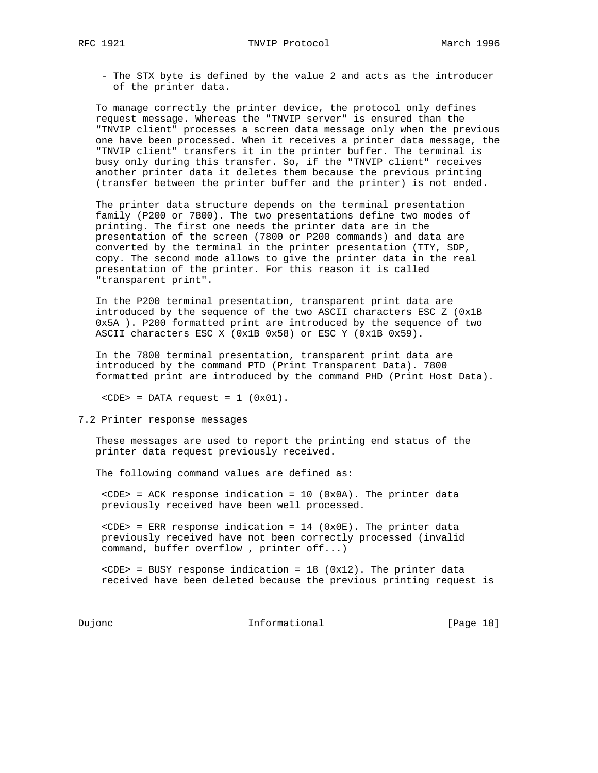- The STX byte is defined by the value 2 and acts as the introducer of the printer data.

 To manage correctly the printer device, the protocol only defines request message. Whereas the "TNVIP server" is ensured than the "TNVIP client" processes a screen data message only when the previous one have been processed. When it receives a printer data message, the "TNVIP client" transfers it in the printer buffer. The terminal is busy only during this transfer. So, if the "TNVIP client" receives another printer data it deletes them because the previous printing (transfer between the printer buffer and the printer) is not ended.

 The printer data structure depends on the terminal presentation family (P200 or 7800). The two presentations define two modes of printing. The first one needs the printer data are in the presentation of the screen (7800 or P200 commands) and data are converted by the terminal in the printer presentation (TTY, SDP, copy. The second mode allows to give the printer data in the real presentation of the printer. For this reason it is called "transparent print".

 In the P200 terminal presentation, transparent print data are introduced by the sequence of the two ASCII characters ESC Z (0x1B 0x5A ). P200 formatted print are introduced by the sequence of two ASCII characters ESC X (0x1B 0x58) or ESC Y (0x1B 0x59).

 In the 7800 terminal presentation, transparent print data are introduced by the command PTD (Print Transparent Data). 7800 formatted print are introduced by the command PHD (Print Host Data).

 $<$ CDE> = DATA request = 1 (0x01).

7.2 Printer response messages

 These messages are used to report the printing end status of the printer data request previously received.

The following command values are defined as:

 <CDE> = ACK response indication = 10 (0x0A). The printer data previously received have been well processed.

 $\text{CDE}$  = ERR response indication = 14 ( $0 \times 0$ E). The printer data previously received have not been correctly processed (invalid command, buffer overflow , printer off...)

 $\text{CDE}$  = BUSY response indication = 18 (0x12). The printer data received have been deleted because the previous printing request is

Dujonc **Informational Informational** [Page 18]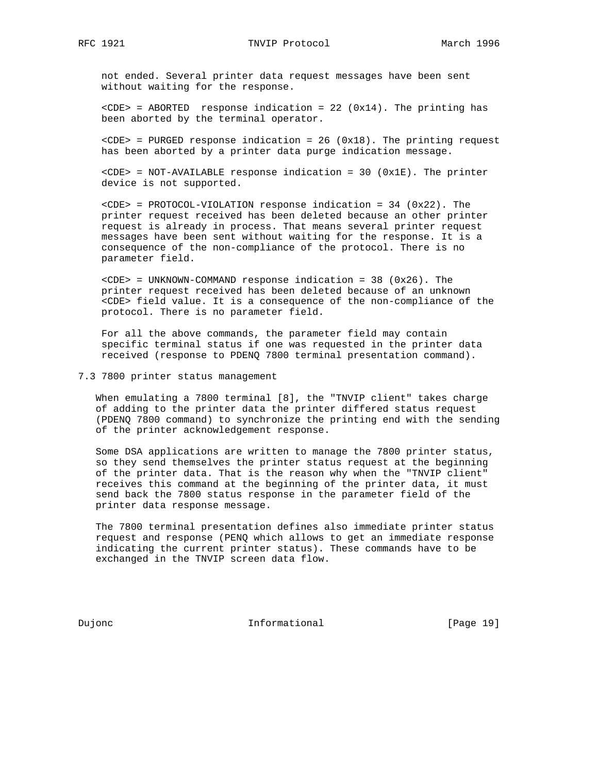not ended. Several printer data request messages have been sent without waiting for the response.

 $\text{CDE}$  = ABORTED response indication = 22 (0x14). The printing has been aborted by the terminal operator.

 <CDE> = PURGED response indication = 26 (0x18). The printing request has been aborted by a printer data purge indication message.

 <CDE> = NOT-AVAILABLE response indication = 30 (0x1E). The printer device is not supported.

 $\text{CDE}$  = PROTOCOL-VIOLATION response indication = 34 (0x22). The printer request received has been deleted because an other printer request is already in process. That means several printer request messages have been sent without waiting for the response. It is a consequence of the non-compliance of the protocol. There is no parameter field.

 $\text{CDEF}$  = UNKNOWN-COMMAND response indication = 38 (0x26). The printer request received has been deleted because of an unknown <CDE> field value. It is a consequence of the non-compliance of the protocol. There is no parameter field.

 For all the above commands, the parameter field may contain specific terminal status if one was requested in the printer data received (response to PDENQ 7800 terminal presentation command).

7.3 7800 printer status management

 When emulating a 7800 terminal [8], the "TNVIP client" takes charge of adding to the printer data the printer differed status request (PDENQ 7800 command) to synchronize the printing end with the sending of the printer acknowledgement response.

 Some DSA applications are written to manage the 7800 printer status, so they send themselves the printer status request at the beginning of the printer data. That is the reason why when the "TNVIP client" receives this command at the beginning of the printer data, it must send back the 7800 status response in the parameter field of the printer data response message.

 The 7800 terminal presentation defines also immediate printer status request and response (PENQ which allows to get an immediate response indicating the current printer status). These commands have to be exchanged in the TNVIP screen data flow.

Dujonc **Informational Informational** [Page 19]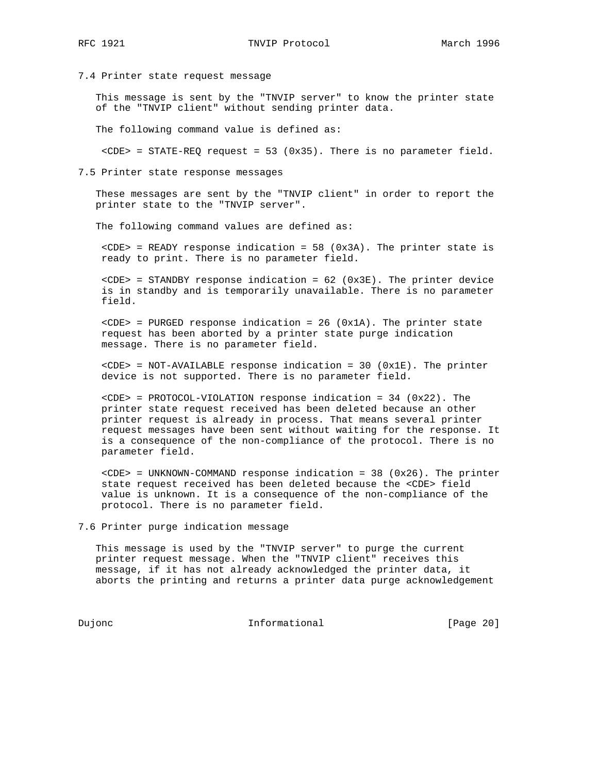7.4 Printer state request message

 This message is sent by the "TNVIP server" to know the printer state of the "TNVIP client" without sending printer data.

The following command value is defined as:

 $\text{CDEF}$  = STATE-REQ request = 53 (0x35). There is no parameter field.

7.5 Printer state response messages

 These messages are sent by the "TNVIP client" in order to report the printer state to the "TNVIP server".

The following command values are defined as:

 <CDE> = READY response indication = 58 (0x3A). The printer state is ready to print. There is no parameter field.

 <CDE> = STANDBY response indication = 62 (0x3E). The printer device is in standby and is temporarily unavailable. There is no parameter field.

 $\text{CDE}$  = PURGED response indication = 26 (0x1A). The printer state request has been aborted by a printer state purge indication message. There is no parameter field.

 $\text{CDE}$  = NOT-AVAILABLE response indication = 30 (0x1E). The printer device is not supported. There is no parameter field.

 <CDE> = PROTOCOL-VIOLATION response indication = 34 (0x22). The printer state request received has been deleted because an other printer request is already in process. That means several printer request messages have been sent without waiting for the response. It is a consequence of the non-compliance of the protocol. There is no parameter field.

 $\text{CDE}$  = UNKNOWN-COMMAND response indication = 38 (0x26). The printer state request received has been deleted because the <CDE> field value is unknown. It is a consequence of the non-compliance of the protocol. There is no parameter field.

7.6 Printer purge indication message

 This message is used by the "TNVIP server" to purge the current printer request message. When the "TNVIP client" receives this message, if it has not already acknowledged the printer data, it aborts the printing and returns a printer data purge acknowledgement

Dujonc **Informational Informational** [Page 20]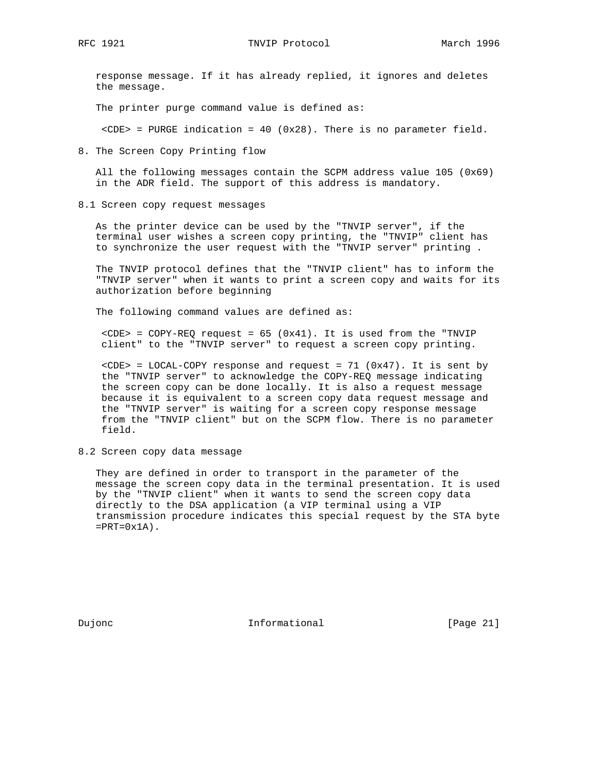response message. If it has already replied, it ignores and deletes the message.

The printer purge command value is defined as:

 $\text{CDE}$  = PURGE indication = 40 (0x28). There is no parameter field.

8. The Screen Copy Printing flow

 All the following messages contain the SCPM address value 105 (0x69) in the ADR field. The support of this address is mandatory.

8.1 Screen copy request messages

 As the printer device can be used by the "TNVIP server", if the terminal user wishes a screen copy printing, the "TNVIP" client has to synchronize the user request with the "TNVIP server" printing .

 The TNVIP protocol defines that the "TNVIP client" has to inform the "TNVIP server" when it wants to print a screen copy and waits for its authorization before beginning

The following command values are defined as:

 $\text{CDEF}$  = COPY-REQ request = 65 (0x41). It is used from the "TNVIP client" to the "TNVIP server" to request a screen copy printing.

 <CDE> = LOCAL-COPY response and request = 71 (0x47). It is sent by the "TNVIP server" to acknowledge the COPY-REQ message indicating the screen copy can be done locally. It is also a request message because it is equivalent to a screen copy data request message and the "TNVIP server" is waiting for a screen copy response message from the "TNVIP client" but on the SCPM flow. There is no parameter field.

8.2 Screen copy data message

 They are defined in order to transport in the parameter of the message the screen copy data in the terminal presentation. It is used by the "TNVIP client" when it wants to send the screen copy data directly to the DSA application (a VIP terminal using a VIP transmission procedure indicates this special request by the STA byte  $=$ PRT=0 $x1A$ ).

Dujonc **Informational Informational** [Page 21]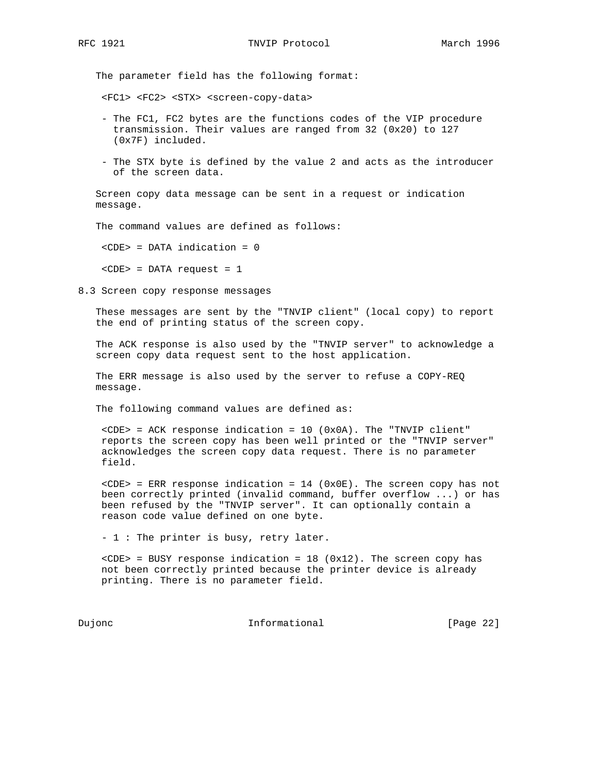The parameter field has the following format:

<FC1> <FC2> <STX> <screen-copy-data>

- The FC1, FC2 bytes are the functions codes of the VIP procedure transmission. Their values are ranged from 32 (0x20) to 127 (0x7F) included.
- The STX byte is defined by the value 2 and acts as the introducer of the screen data.

 Screen copy data message can be sent in a request or indication message.

The command values are defined as follows:

<CDE> = DATA indication = 0

<CDE> = DATA request = 1

8.3 Screen copy response messages

 These messages are sent by the "TNVIP client" (local copy) to report the end of printing status of the screen copy.

 The ACK response is also used by the "TNVIP server" to acknowledge a screen copy data request sent to the host application.

 The ERR message is also used by the server to refuse a COPY-REQ message.

The following command values are defined as:

 $\text{CDE}$  = ACK response indication = 10 (0x0A). The "TNVIP client" reports the screen copy has been well printed or the "TNVIP server" acknowledges the screen copy data request. There is no parameter field.

 $\text{CDE}$  = ERR response indication = 14 (0x0E). The screen copy has not been correctly printed (invalid command, buffer overflow ...) or has been refused by the "TNVIP server". It can optionally contain a reason code value defined on one byte.

- 1 : The printer is busy, retry later.

 $\text{CDE}$  = BUSY response indication = 18 (0x12). The screen copy has not been correctly printed because the printer device is already printing. There is no parameter field.

Dujonc **Informational Informational** [Page 22]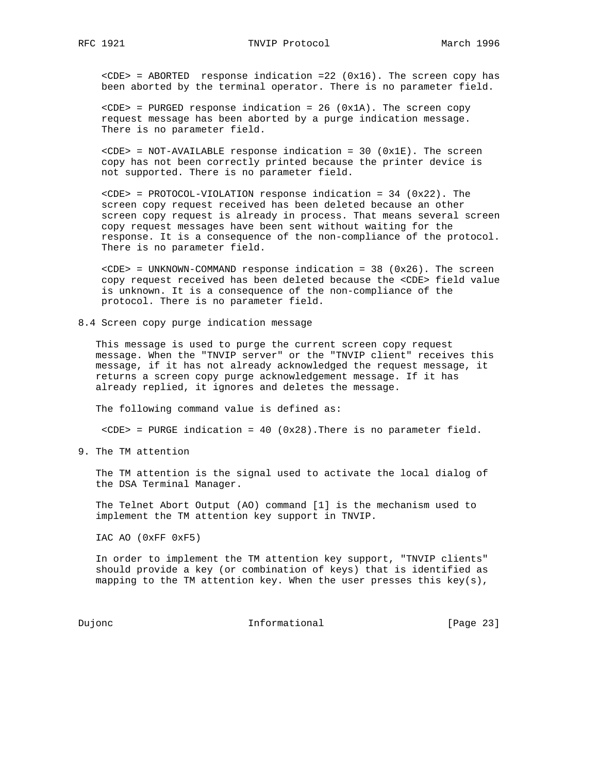<CDE> = ABORTED response indication =22 (0x16). The screen copy has been aborted by the terminal operator. There is no parameter field.

 <CDE> = PURGED response indication = 26 (0x1A). The screen copy request message has been aborted by a purge indication message. There is no parameter field.

 $\text{CDE}$  = NOT-AVAILABLE response indication = 30 (0x1E). The screen copy has not been correctly printed because the printer device is not supported. There is no parameter field.

 <CDE> = PROTOCOL-VIOLATION response indication = 34 (0x22). The screen copy request received has been deleted because an other screen copy request is already in process. That means several screen copy request messages have been sent without waiting for the response. It is a consequence of the non-compliance of the protocol. There is no parameter field.

 <CDE> = UNKNOWN-COMMAND response indication = 38 (0x26). The screen copy request received has been deleted because the <CDE> field value is unknown. It is a consequence of the non-compliance of the protocol. There is no parameter field.

8.4 Screen copy purge indication message

 This message is used to purge the current screen copy request message. When the "TNVIP server" or the "TNVIP client" receives this message, if it has not already acknowledged the request message, it returns a screen copy purge acknowledgement message. If it has already replied, it ignores and deletes the message.

The following command value is defined as:

<CDE> = PURGE indication = 40 (0x28).There is no parameter field.

9. The TM attention

 The TM attention is the signal used to activate the local dialog of the DSA Terminal Manager.

 The Telnet Abort Output (AO) command [1] is the mechanism used to implement the TM attention key support in TNVIP.

IAC AO (0xFF 0xF5)

 In order to implement the TM attention key support, "TNVIP clients" should provide a key (or combination of keys) that is identified as mapping to the TM attention key. When the user presses this key(s),

Dujonc **Informational Informational** [Page 23]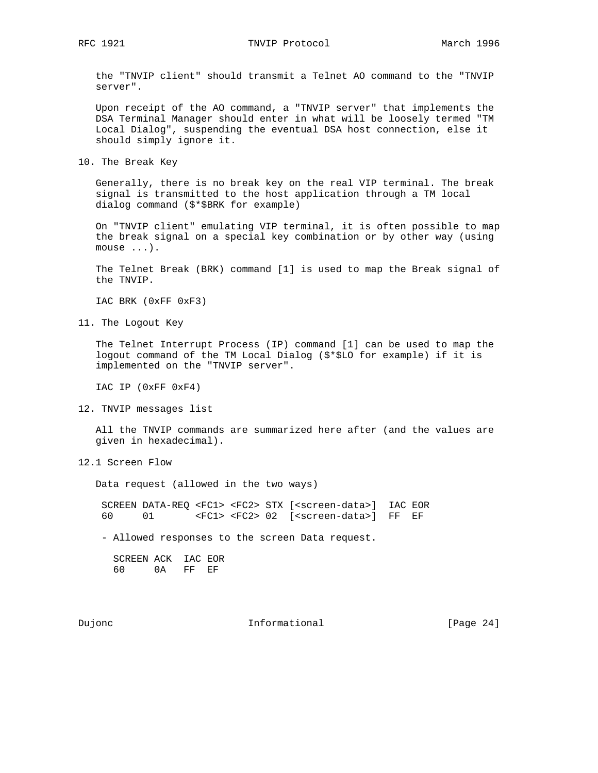RFC 1921 **TNVIP** Protocol March 1996

 the "TNVIP client" should transmit a Telnet AO command to the "TNVIP server".

 Upon receipt of the AO command, a "TNVIP server" that implements the DSA Terminal Manager should enter in what will be loosely termed "TM Local Dialog", suspending the eventual DSA host connection, else it should simply ignore it.

10. The Break Key

 Generally, there is no break key on the real VIP terminal. The break signal is transmitted to the host application through a TM local dialog command (\$\*\$BRK for example)

 On "TNVIP client" emulating VIP terminal, it is often possible to map the break signal on a special key combination or by other way (using mouse ...).

 The Telnet Break (BRK) command [1] is used to map the Break signal of the TNVIP.

IAC BRK (0xFF 0xF3)

11. The Logout Key

 The Telnet Interrupt Process (IP) command [1] can be used to map the logout command of the TM Local Dialog (\$\*\$LO for example) if it is implemented on the "TNVIP server".

IAC IP (0xFF 0xF4)

12. TNVIP messages list

 All the TNVIP commands are summarized here after (and the values are given in hexadecimal).

12.1 Screen Flow

Data request (allowed in the two ways)

 SCREEN DATA-REQ <FC1> <FC2> STX [<screen-data>] IAC EOR 60 01 <FC1> <FC2> 02 [<screen-data>] FF EF

- Allowed responses to the screen Data request.

 SCREEN ACK IAC EOR 60 0A FF EF

Dujonc **Informational Informational** [Page 24]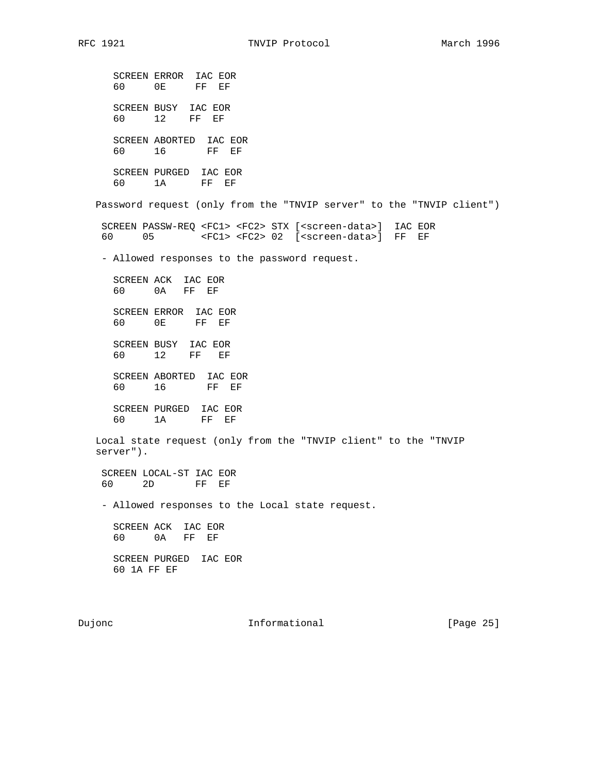SCREEN ERROR IAC EOR 60 0E FF EF SCREEN BUSY IAC EOR 60 12 FF EF SCREEN ABORTED IAC EOR 60 16 FF EF SCREEN PURGED IAC EOR 60 1A FF EF Password request (only from the "TNVIP server" to the "TNVIP client") SCREEN PASSW-REQ <FC1> <FC2> STX [<screen-data>] IAC EOR 60 05 <FC1> <FC2> 02 [<screen-data>] FF EF - Allowed responses to the password request. SCREEN ACK IAC EOR 60 0A FF EF SCREEN ERROR IAC EOR 60 0E FF EF SCREEN BUSY IAC EOR 60 12 FF EF SCREEN ABORTED IAC EOR 60 16 FF EF SCREEN PURGED IAC EOR 60 1A FF EF Local state request (only from the "TNVIP client" to the "TNVIP server"). SCREEN LOCAL-ST IAC EOR 60 2D FF EF - Allowed responses to the Local state request. SCREEN ACK IAC EOR 60 0A FF EF SCREEN PURGED IAC EOR 60 1A FF EF

Dujonc **Informational Informational** [Page 25]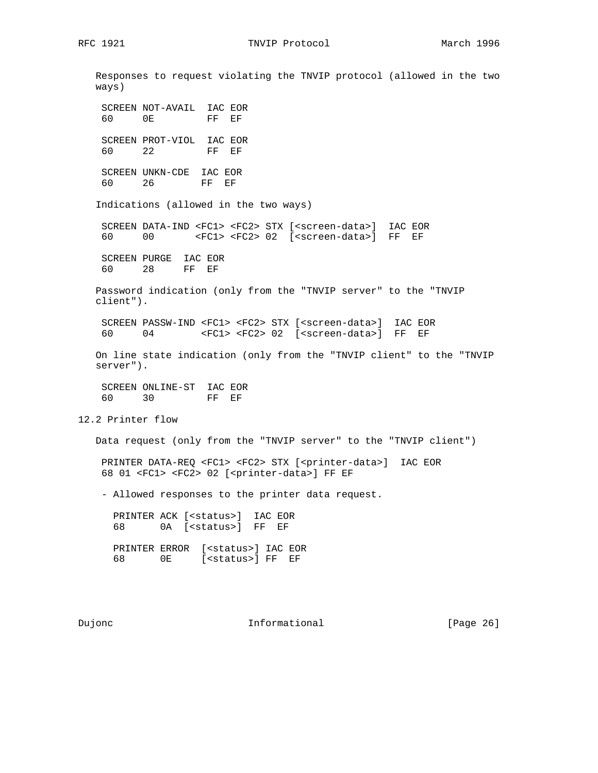Responses to request violating the TNVIP protocol (allowed in the two ways) SCREEN NOT-AVAIL IAC EOR 60 0E FF EF SCREEN PROT-VIOL IAC EOR 60 22 FF EF SCREEN UNKN-CDE IAC EOR 60 26 FF EF Indications (allowed in the two ways) SCREEN DATA-IND <FC1> <FC2> STX [<screen-data>] IAC EOR 60 00 <FC1> <FC2> 02 [<screen-data>] FF EF SCREEN PURGE IAC EOR 60 28 FF EF Password indication (only from the "TNVIP server" to the "TNVIP client"). SCREEN PASSW-IND <FC1> <FC2> STX [<screen-data>] IAC EOR 60 04 <FC1> <FC2> 02 [<screen-data>] FF EF On line state indication (only from the "TNVIP client" to the "TNVIP server"). SCREEN ONLINE-ST IAC EOR 60 30 FF EF 12.2 Printer flow Data request (only from the "TNVIP server" to the "TNVIP client") PRINTER DATA-REQ <FC1> <FC2> STX [<printer-data>] IAC EOR 68 01 <FC1> <FC2> 02 [<printer-data>] FF EF - Allowed responses to the printer data request. PRINTER ACK [<status>] IAC EOR 68 0A [<status>] FF EF PRINTER ERROR [<status>] IAC EOR 68 0E [<status>] FF EF

Dujonc **Informational Informational** [Page 26]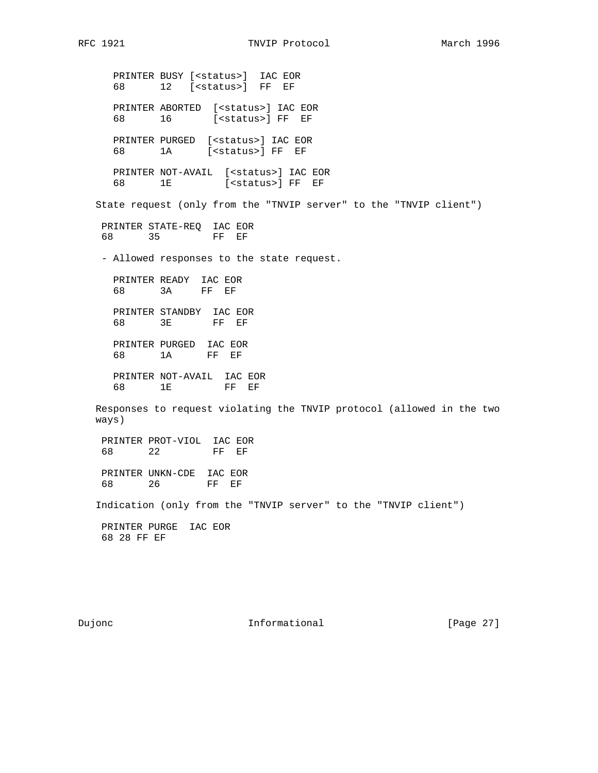PRINTER BUSY [<status>] IAC EOR 68 12 [<status>] FF EF PRINTER ABORTED [<status>] IAC EOR 68 16 [<status>] FF EF PRINTER PURGED [<status>] IAC EOR 68 1A [<status>] FF EF PRINTER NOT-AVAIL [<status>] IAC EOR 68 1E [<status>] FF EF State request (only from the "TNVIP server" to the "TNVIP client") PRINTER STATE-REQ IAC EOR 68 35 FF EF - Allowed responses to the state request. PRINTER READY IAC EOR 68 3A FF EF PRINTER STANDBY IAC EOR 68 3E FF EF PRINTER PURGED IAC EOR 68 1A FF EF PRINTER NOT-AVAIL IAC EOR 68 1E FF EF Responses to request violating the TNVIP protocol (allowed in the two ways) PRINTER PROT-VIOL IAC EOR<br>68 22 FF EF 68 22 PRINTER UNKN-CDE IAC EOR 68 26 FF EF Indication (only from the "TNVIP server" to the "TNVIP client") PRINTER PURGE IAC EOR 68 28 FF EF

Dujonc **Informational Informational** [Page 27]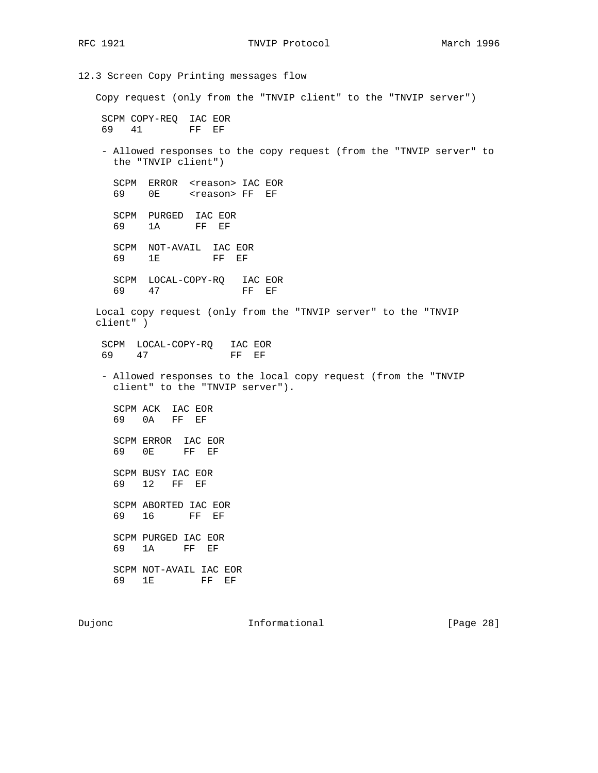RFC 1921 TNVIP Protocol March 1996

12.3 Screen Copy Printing messages flow Copy request (only from the "TNVIP client" to the "TNVIP server") SCPM COPY-REQ IAC EOR 69 41 FF EF - Allowed responses to the copy request (from the "TNVIP server" to the "TNVIP client") SCPM ERROR <reason> IAC EOR 69 0E <reason> FF EF SCPM PURGED IAC EOR 69 1A FF EF SCPM NOT-AVAIL IAC EOR 69 1E FF EF SCPM LOCAL-COPY-RQ IAC EOR 69 47 FF EF Local copy request (only from the "TNVIP server" to the "TNVIP client" ) SCPM LOCAL-COPY-RQ IAC EOR 69 47 FF EF - Allowed responses to the local copy request (from the "TNVIP client" to the "TNVIP server"). SCPM ACK IAC EOR 69 0A FF EF SCPM ERROR IAC EOR 69 0E FF EF SCPM BUSY IAC EOR 69 12 FF EF SCPM ABORTED IAC EOR 69 16 FF EF SCPM PURGED IAC EOR 69 1A FF EF SCPM NOT-AVAIL IAC EOR 69 1E FF EF

Dujonc **Informational Informational** [Page 28]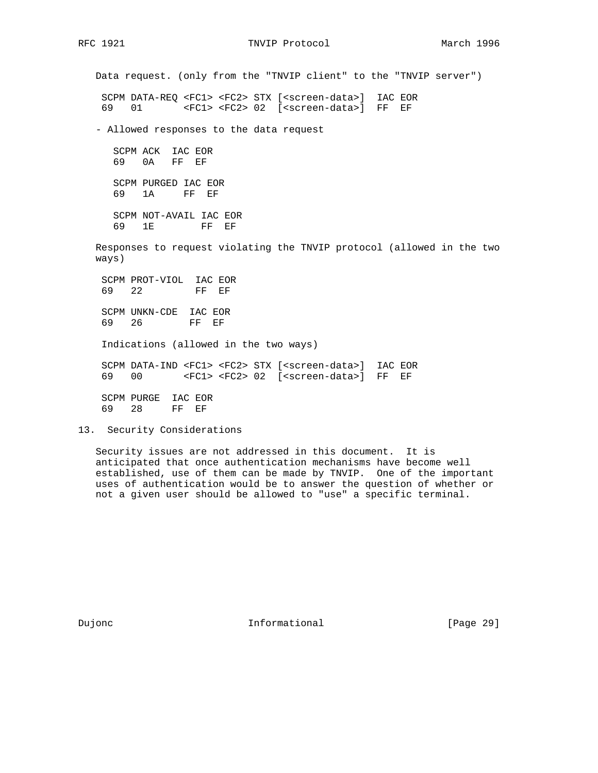RFC 1921 **TNVIP Protocol** March 1996

 Data request. (only from the "TNVIP client" to the "TNVIP server") SCPM DATA-REQ <FC1> <FC2> STX [<screen-data>] IAC EOR 69 01 <FC1> <FC2> 02 [<screen-data>] FF EF - Allowed responses to the data request SCPM ACK IAC EOR 69 0A FF EF SCPM PURGED IAC EOR 69 1A FF EF SCPM NOT-AVAIL IAC EOR 69 1E FF EF Responses to request violating the TNVIP protocol (allowed in the two ways) SCPM PROT-VIOL IAC EOR 69 22 FF EF SCPM UNKN-CDE IAC EOR 69 26 FF EF Indications (allowed in the two ways) SCPM DATA-IND <FC1> <FC2> STX [<screen-data>] IAC EOR 69 00 <FC1> <FC2> 02 [<screen-data>] FF EF SCPM PURGE IAC EOR

69 28 FF EF

13. Security Considerations

 Security issues are not addressed in this document. It is anticipated that once authentication mechanisms have become well established, use of them can be made by TNVIP. One of the important uses of authentication would be to answer the question of whether or not a given user should be allowed to "use" a specific terminal.

Dujonc **Informational Informational** [Page 29]